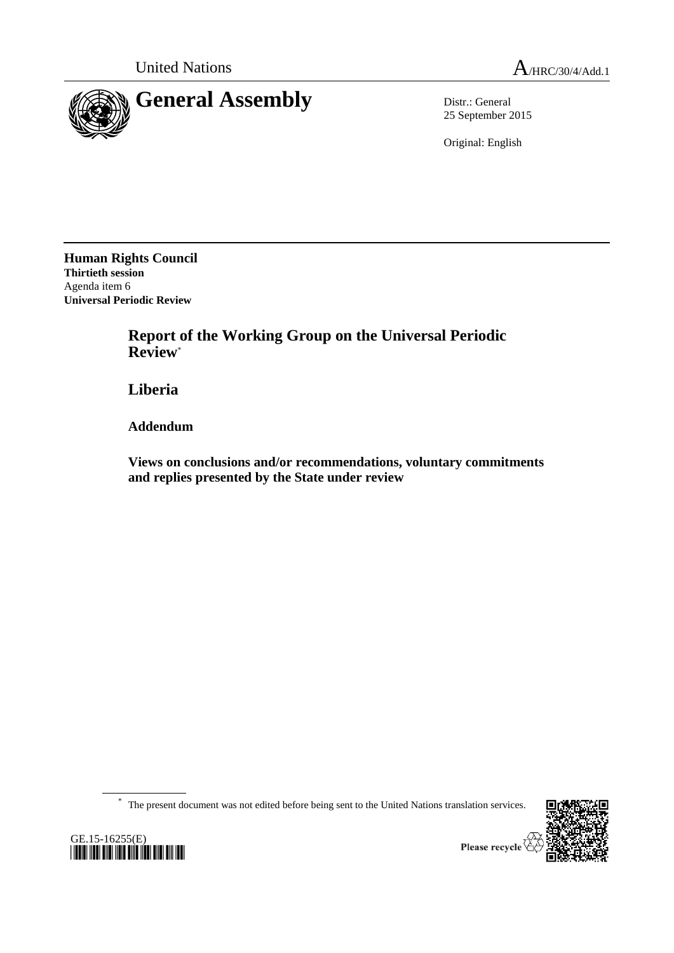

25 September 2015

Original: English

**Human Rights Council Thirtieth session** Agenda item 6 **Universal Periodic Review**

> **Report of the Working Group on the Universal Periodic Review**\*

**Liberia**

**Addendum**

**Views on conclusions and/or recommendations, voluntary commitments and replies presented by the State under review**

\* The present document was not edited before being sent to the United Nations translation services.





Please recycle  $\overline{\mathscr{C}}$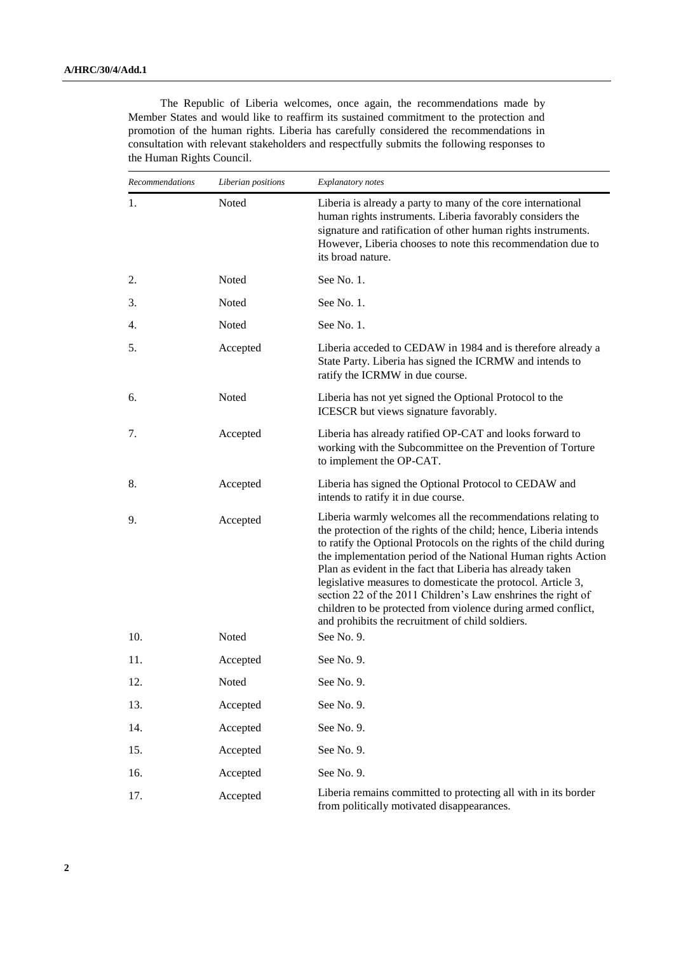The Republic of Liberia welcomes, once again, the recommendations made by Member States and would like to reaffirm its sustained commitment to the protection and promotion of the human rights. Liberia has carefully considered the recommendations in consultation with relevant stakeholders and respectfully submits the following responses to the Human Rights Council.

| Recommendations | Liberian positions | Explanatory notes                                                                                                                                                                                                                                                                                                                                                                                                                                                                                                                                                                          |
|-----------------|--------------------|--------------------------------------------------------------------------------------------------------------------------------------------------------------------------------------------------------------------------------------------------------------------------------------------------------------------------------------------------------------------------------------------------------------------------------------------------------------------------------------------------------------------------------------------------------------------------------------------|
| 1.              | Noted              | Liberia is already a party to many of the core international<br>human rights instruments. Liberia favorably considers the<br>signature and ratification of other human rights instruments.<br>However, Liberia chooses to note this recommendation due to<br>its broad nature.                                                                                                                                                                                                                                                                                                             |
| 2.              | Noted              | See No. 1.                                                                                                                                                                                                                                                                                                                                                                                                                                                                                                                                                                                 |
| 3.              | Noted              | See No. 1.                                                                                                                                                                                                                                                                                                                                                                                                                                                                                                                                                                                 |
| 4.              | Noted              | See No. 1.                                                                                                                                                                                                                                                                                                                                                                                                                                                                                                                                                                                 |
| 5.              | Accepted           | Liberia acceded to CEDAW in 1984 and is therefore already a<br>State Party. Liberia has signed the ICRMW and intends to<br>ratify the ICRMW in due course.                                                                                                                                                                                                                                                                                                                                                                                                                                 |
| 6.              | Noted              | Liberia has not yet signed the Optional Protocol to the<br>ICESCR but views signature favorably.                                                                                                                                                                                                                                                                                                                                                                                                                                                                                           |
| 7.              | Accepted           | Liberia has already ratified OP-CAT and looks forward to<br>working with the Subcommittee on the Prevention of Torture<br>to implement the OP-CAT.                                                                                                                                                                                                                                                                                                                                                                                                                                         |
| 8.              | Accepted           | Liberia has signed the Optional Protocol to CEDAW and<br>intends to ratify it in due course.                                                                                                                                                                                                                                                                                                                                                                                                                                                                                               |
| 9.              | Accepted           | Liberia warmly welcomes all the recommendations relating to<br>the protection of the rights of the child; hence, Liberia intends<br>to ratify the Optional Protocols on the rights of the child during<br>the implementation period of the National Human rights Action<br>Plan as evident in the fact that Liberia has already taken<br>legislative measures to domesticate the protocol. Article 3,<br>section 22 of the 2011 Children's Law enshrines the right of<br>children to be protected from violence during armed conflict,<br>and prohibits the recruitment of child soldiers. |
| 10.             | Noted              | See No. 9.                                                                                                                                                                                                                                                                                                                                                                                                                                                                                                                                                                                 |
| 11.             | Accepted           | See No. 9.                                                                                                                                                                                                                                                                                                                                                                                                                                                                                                                                                                                 |
| 12.             | Noted              | See No. 9.                                                                                                                                                                                                                                                                                                                                                                                                                                                                                                                                                                                 |
| 13.             | Accepted           | See No. 9.                                                                                                                                                                                                                                                                                                                                                                                                                                                                                                                                                                                 |
| 14.             | Accepted           | See No. 9.                                                                                                                                                                                                                                                                                                                                                                                                                                                                                                                                                                                 |
| 15.             | Accepted           | See No. 9.                                                                                                                                                                                                                                                                                                                                                                                                                                                                                                                                                                                 |
| 16.             | Accepted           | See No. 9.                                                                                                                                                                                                                                                                                                                                                                                                                                                                                                                                                                                 |
| 17.             | Accepted           | Liberia remains committed to protecting all with in its border<br>from politically motivated disappearances.                                                                                                                                                                                                                                                                                                                                                                                                                                                                               |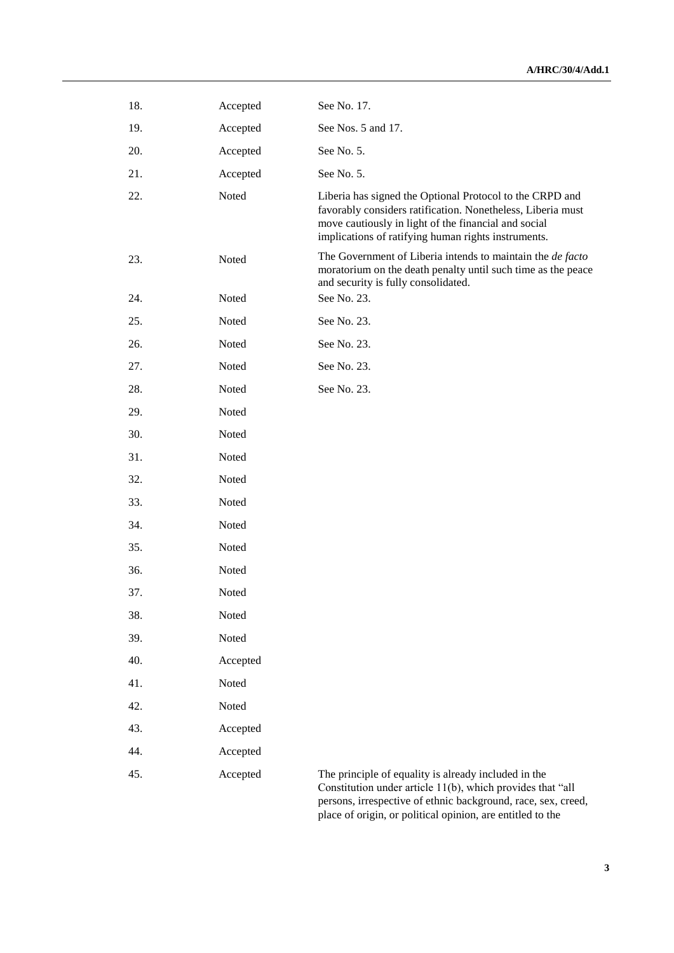| 18. | Accepted | See No. 17.                                                                                                                                                                                                                                       |
|-----|----------|---------------------------------------------------------------------------------------------------------------------------------------------------------------------------------------------------------------------------------------------------|
| 19. | Accepted | See Nos. 5 and 17.                                                                                                                                                                                                                                |
| 20. | Accepted | See No. 5.                                                                                                                                                                                                                                        |
| 21. | Accepted | See No. 5.                                                                                                                                                                                                                                        |
| 22. | Noted    | Liberia has signed the Optional Protocol to the CRPD and<br>favorably considers ratification. Nonetheless, Liberia must<br>move cautiously in light of the financial and social<br>implications of ratifying human rights instruments.            |
| 23. | Noted    | The Government of Liberia intends to maintain the <i>de facto</i><br>moratorium on the death penalty until such time as the peace<br>and security is fully consolidated.                                                                          |
| 24. | Noted    | See No. 23.                                                                                                                                                                                                                                       |
| 25. | Noted    | See No. 23.                                                                                                                                                                                                                                       |
| 26. | Noted    | See No. 23.                                                                                                                                                                                                                                       |
| 27. | Noted    | See No. 23.                                                                                                                                                                                                                                       |
| 28. | Noted    | See No. 23.                                                                                                                                                                                                                                       |
| 29. | Noted    |                                                                                                                                                                                                                                                   |
| 30. | Noted    |                                                                                                                                                                                                                                                   |
| 31. | Noted    |                                                                                                                                                                                                                                                   |
| 32. | Noted    |                                                                                                                                                                                                                                                   |
| 33. | Noted    |                                                                                                                                                                                                                                                   |
| 34. | Noted    |                                                                                                                                                                                                                                                   |
| 35. | Noted    |                                                                                                                                                                                                                                                   |
| 36. | Noted    |                                                                                                                                                                                                                                                   |
| 37. | Noted    |                                                                                                                                                                                                                                                   |
| 38. | Noted    |                                                                                                                                                                                                                                                   |
| 39. | Noted    |                                                                                                                                                                                                                                                   |
| 40. | Accepted |                                                                                                                                                                                                                                                   |
| 41. | Noted    |                                                                                                                                                                                                                                                   |
| 42. | Noted    |                                                                                                                                                                                                                                                   |
| 43. | Accepted |                                                                                                                                                                                                                                                   |
| 44. | Accepted |                                                                                                                                                                                                                                                   |
| 45. | Accepted | The principle of equality is already included in the<br>Constitution under article 11(b), which provides that "all<br>persons, irrespective of ethnic background, race, sex, creed,<br>place of origin, or political opinion, are entitled to the |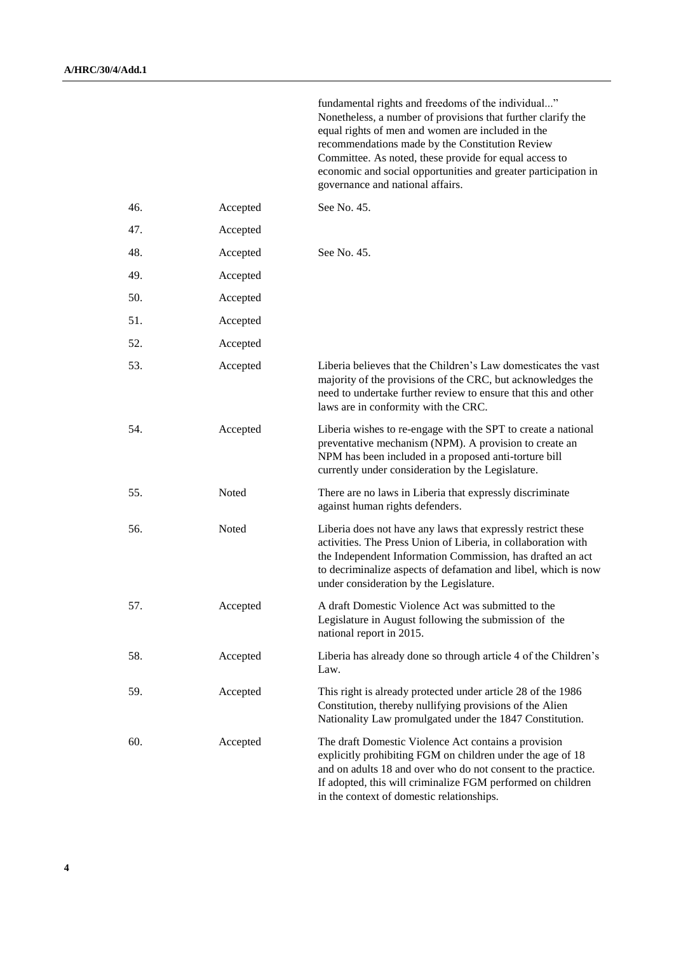|     |          | Nonetheless, a number of provisions that further clarify the<br>equal rights of men and women are included in the<br>recommendations made by the Constitution Review<br>Committee. As noted, these provide for equal access to<br>economic and social opportunities and greater participation in<br>governance and national affairs. |
|-----|----------|--------------------------------------------------------------------------------------------------------------------------------------------------------------------------------------------------------------------------------------------------------------------------------------------------------------------------------------|
| 46. | Accepted | See No. 45.                                                                                                                                                                                                                                                                                                                          |
| 47. | Accepted |                                                                                                                                                                                                                                                                                                                                      |
| 48. | Accepted | See No. 45.                                                                                                                                                                                                                                                                                                                          |
| 49. | Accepted |                                                                                                                                                                                                                                                                                                                                      |
| 50. | Accepted |                                                                                                                                                                                                                                                                                                                                      |
| 51. | Accepted |                                                                                                                                                                                                                                                                                                                                      |
| 52. | Accepted |                                                                                                                                                                                                                                                                                                                                      |
| 53. | Accepted | Liberia believes that the Children's Law domesticates the vast<br>majority of the provisions of the CRC, but acknowledges the<br>need to undertake further review to ensure that this and other<br>laws are in conformity with the CRC.                                                                                              |
| 54. | Accepted | Liberia wishes to re-engage with the SPT to create a national<br>preventative mechanism (NPM). A provision to create an<br>NPM has been included in a proposed anti-torture bill<br>currently under consideration by the Legislature.                                                                                                |
| 55. | Noted    | There are no laws in Liberia that expressly discriminate<br>against human rights defenders.                                                                                                                                                                                                                                          |
| 56. | Noted    | Liberia does not have any laws that expressly restrict these<br>activities. The Press Union of Liberia, in collaboration with<br>the Independent Information Commission, has drafted an act<br>to decriminalize aspects of defamation and libel, which is now<br>under consideration by the Legislature.                             |
| 57. | Accepted | A draft Domestic Violence Act was submitted to the<br>Legislature in August following the submission of the<br>national report in 2015.                                                                                                                                                                                              |
| 58. | Accepted | Liberia has already done so through article 4 of the Children's<br>Law.                                                                                                                                                                                                                                                              |
| 59. | Accepted | This right is already protected under article 28 of the 1986<br>Constitution, thereby nullifying provisions of the Alien<br>Nationality Law promulgated under the 1847 Constitution.                                                                                                                                                 |
| 60. | Accepted | The draft Domestic Violence Act contains a provision<br>explicitly prohibiting FGM on children under the age of 18<br>and on adults 18 and over who do not consent to the practice.<br>If adopted, this will criminalize FGM performed on children<br>in the context of domestic relationships.                                      |

fundamental rights and freedoms of the individual..."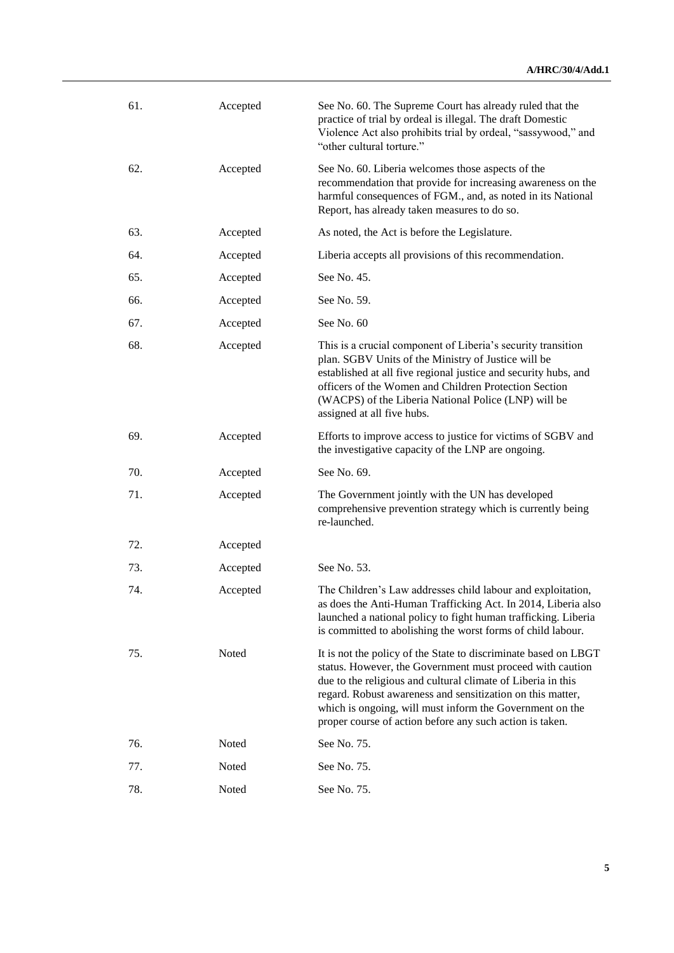| 61. | Accepted | See No. 60. The Supreme Court has already ruled that the<br>practice of trial by ordeal is illegal. The draft Domestic<br>Violence Act also prohibits trial by ordeal, "sassywood," and<br>"other cultural torture."                                                                                                                                                               |
|-----|----------|------------------------------------------------------------------------------------------------------------------------------------------------------------------------------------------------------------------------------------------------------------------------------------------------------------------------------------------------------------------------------------|
| 62. | Accepted | See No. 60. Liberia welcomes those aspects of the<br>recommendation that provide for increasing awareness on the<br>harmful consequences of FGM., and, as noted in its National<br>Report, has already taken measures to do so.                                                                                                                                                    |
| 63. | Accepted | As noted, the Act is before the Legislature.                                                                                                                                                                                                                                                                                                                                       |
| 64. | Accepted | Liberia accepts all provisions of this recommendation.                                                                                                                                                                                                                                                                                                                             |
| 65. | Accepted | See No. 45.                                                                                                                                                                                                                                                                                                                                                                        |
| 66. | Accepted | See No. 59.                                                                                                                                                                                                                                                                                                                                                                        |
| 67. | Accepted | See No. 60                                                                                                                                                                                                                                                                                                                                                                         |
| 68. | Accepted | This is a crucial component of Liberia's security transition<br>plan. SGBV Units of the Ministry of Justice will be<br>established at all five regional justice and security hubs, and<br>officers of the Women and Children Protection Section<br>(WACPS) of the Liberia National Police (LNP) will be<br>assigned at all five hubs.                                              |
| 69. | Accepted | Efforts to improve access to justice for victims of SGBV and<br>the investigative capacity of the LNP are ongoing.                                                                                                                                                                                                                                                                 |
| 70. | Accepted | See No. 69.                                                                                                                                                                                                                                                                                                                                                                        |
| 71. | Accepted | The Government jointly with the UN has developed<br>comprehensive prevention strategy which is currently being<br>re-launched.                                                                                                                                                                                                                                                     |
| 72. | Accepted |                                                                                                                                                                                                                                                                                                                                                                                    |
| 73. | Accepted | See No. 53.                                                                                                                                                                                                                                                                                                                                                                        |
| 74. | Accepted | The Children's Law addresses child labour and exploitation,<br>as does the Anti-Human Trafficking Act. In 2014, Liberia also<br>launched a national policy to fight human trafficking. Liberia<br>is committed to abolishing the worst forms of child labour.                                                                                                                      |
| 75. | Noted    | It is not the policy of the State to discriminate based on LBGT<br>status. However, the Government must proceed with caution<br>due to the religious and cultural climate of Liberia in this<br>regard. Robust awareness and sensitization on this matter,<br>which is ongoing, will must inform the Government on the<br>proper course of action before any such action is taken. |
| 76. | Noted    | See No. 75.                                                                                                                                                                                                                                                                                                                                                                        |
| 77. | Noted    | See No. 75.                                                                                                                                                                                                                                                                                                                                                                        |
| 78. | Noted    | See No. 75.                                                                                                                                                                                                                                                                                                                                                                        |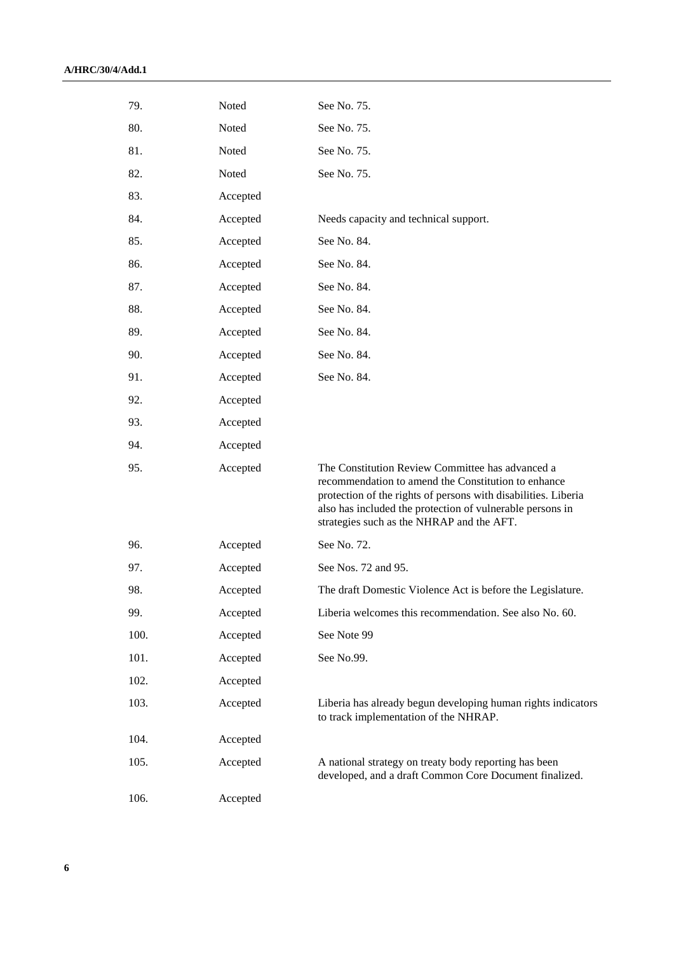| 79.  | Noted    | See No. 75.                                                                                                                                                                                                                                                                         |
|------|----------|-------------------------------------------------------------------------------------------------------------------------------------------------------------------------------------------------------------------------------------------------------------------------------------|
| 80.  | Noted    | See No. 75.                                                                                                                                                                                                                                                                         |
| 81.  | Noted    | See No. 75.                                                                                                                                                                                                                                                                         |
| 82.  | Noted    | See No. 75.                                                                                                                                                                                                                                                                         |
| 83.  | Accepted |                                                                                                                                                                                                                                                                                     |
| 84.  | Accepted | Needs capacity and technical support.                                                                                                                                                                                                                                               |
| 85.  | Accepted | See No. 84.                                                                                                                                                                                                                                                                         |
| 86.  | Accepted | See No. 84.                                                                                                                                                                                                                                                                         |
| 87.  | Accepted | See No. 84.                                                                                                                                                                                                                                                                         |
| 88.  | Accepted | See No. 84.                                                                                                                                                                                                                                                                         |
| 89.  | Accepted | See No. 84.                                                                                                                                                                                                                                                                         |
| 90.  | Accepted | See No. 84.                                                                                                                                                                                                                                                                         |
| 91.  | Accepted | See No. 84.                                                                                                                                                                                                                                                                         |
| 92.  | Accepted |                                                                                                                                                                                                                                                                                     |
| 93.  | Accepted |                                                                                                                                                                                                                                                                                     |
| 94.  | Accepted |                                                                                                                                                                                                                                                                                     |
| 95.  | Accepted | The Constitution Review Committee has advanced a<br>recommendation to amend the Constitution to enhance<br>protection of the rights of persons with disabilities. Liberia<br>also has included the protection of vulnerable persons in<br>strategies such as the NHRAP and the AFT. |
| 96.  | Accepted | See No. 72.                                                                                                                                                                                                                                                                         |
| 97.  | Accepted | See Nos. 72 and 95.                                                                                                                                                                                                                                                                 |
| 98.  | Accepted | The draft Domestic Violence Act is before the Legislature.                                                                                                                                                                                                                          |
| 99.  | Accepted | Liberia welcomes this recommendation. See also No. 60.                                                                                                                                                                                                                              |
| 100. | Accepted | See Note 99                                                                                                                                                                                                                                                                         |
| 101. | Accepted | See No.99.                                                                                                                                                                                                                                                                          |
| 102. | Accepted |                                                                                                                                                                                                                                                                                     |
| 103. | Accepted | Liberia has already begun developing human rights indicators<br>to track implementation of the NHRAP.                                                                                                                                                                               |
| 104. | Accepted |                                                                                                                                                                                                                                                                                     |
| 105. | Accepted | A national strategy on treaty body reporting has been<br>developed, and a draft Common Core Document finalized.                                                                                                                                                                     |
| 106. | Accepted |                                                                                                                                                                                                                                                                                     |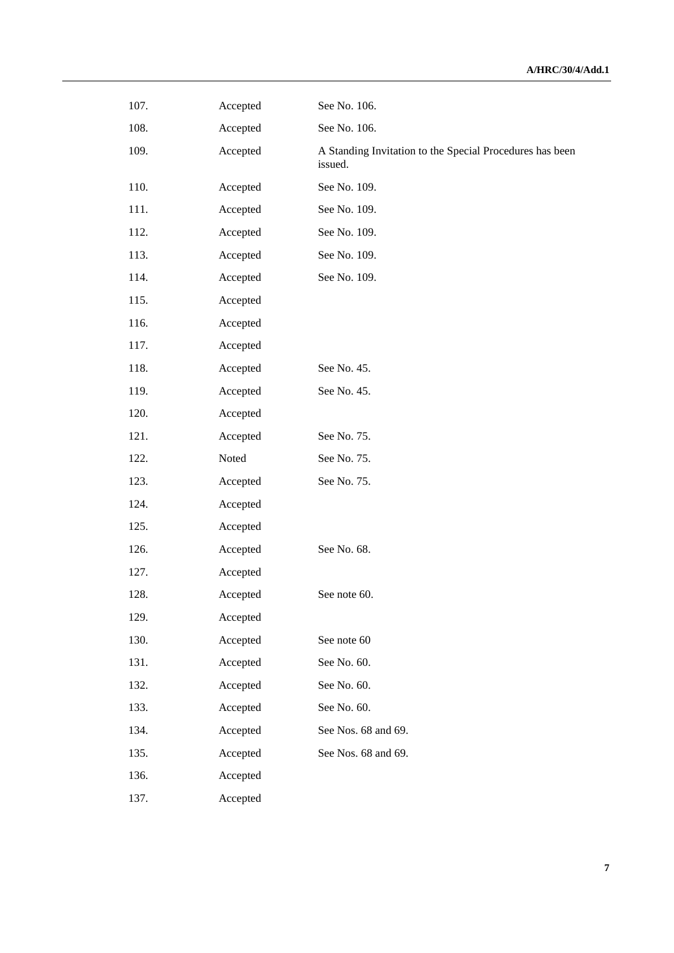| 107. | Accepted | See No. 106.                                                        |
|------|----------|---------------------------------------------------------------------|
| 108. | Accepted | See No. 106.                                                        |
| 109. | Accepted | A Standing Invitation to the Special Procedures has been<br>issued. |
| 110. | Accepted | See No. 109.                                                        |
| 111. | Accepted | See No. 109.                                                        |
| 112. | Accepted | See No. 109.                                                        |
| 113. | Accepted | See No. 109.                                                        |
| 114. | Accepted | See No. 109.                                                        |
| 115. | Accepted |                                                                     |
| 116. | Accepted |                                                                     |
| 117. | Accepted |                                                                     |
| 118. | Accepted | See No. 45.                                                         |
| 119. | Accepted | See No. 45.                                                         |
| 120. | Accepted |                                                                     |
| 121. | Accepted | See No. 75.                                                         |
| 122. | Noted    | See No. 75.                                                         |
| 123. | Accepted | See No. 75.                                                         |
| 124. | Accepted |                                                                     |
| 125. | Accepted |                                                                     |
| 126. | Accepted | See No. 68.                                                         |
| 127. | Accepted |                                                                     |
| 128. | Accepted | See note 60.                                                        |
| 129. | Accepted |                                                                     |
| 130. | Accepted | See note 60                                                         |
| 131. | Accepted | See No. 60.                                                         |
| 132. | Accepted | See No. 60.                                                         |
| 133. | Accepted | See No. 60.                                                         |
| 134. | Accepted | See Nos. 68 and 69.                                                 |
| 135. | Accepted | See Nos. 68 and 69.                                                 |
| 136. | Accepted |                                                                     |
| 137. | Accepted |                                                                     |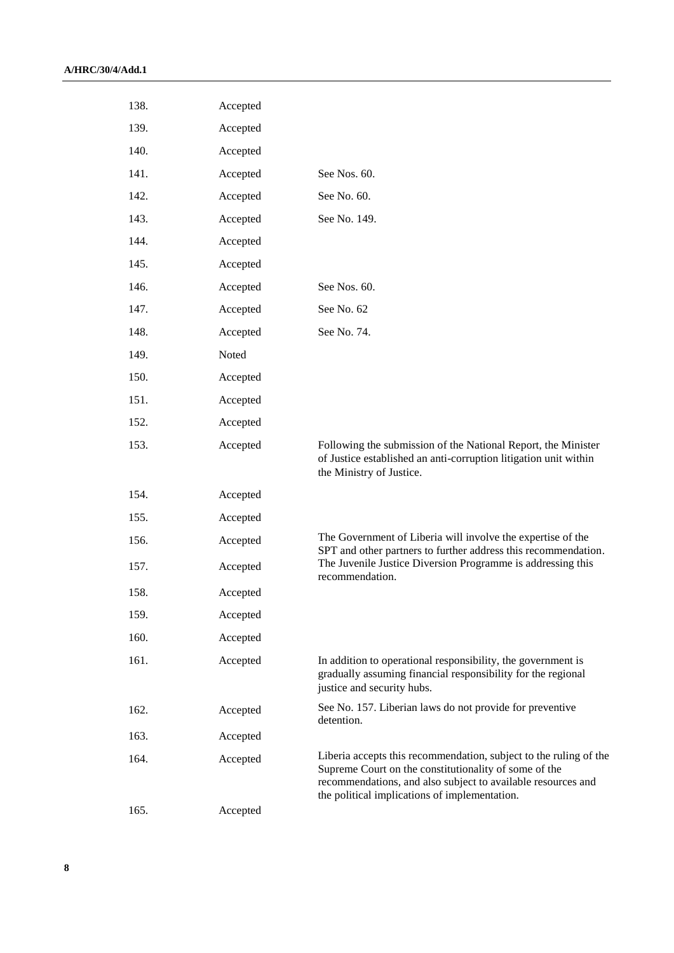| 138. | Accepted |                                                                                                                                                                                                                                             |
|------|----------|---------------------------------------------------------------------------------------------------------------------------------------------------------------------------------------------------------------------------------------------|
| 139. | Accepted |                                                                                                                                                                                                                                             |
| 140. | Accepted |                                                                                                                                                                                                                                             |
| 141. | Accepted | See Nos. 60.                                                                                                                                                                                                                                |
| 142. | Accepted | See No. 60.                                                                                                                                                                                                                                 |
| 143. | Accepted | See No. 149.                                                                                                                                                                                                                                |
| 144. | Accepted |                                                                                                                                                                                                                                             |
| 145. | Accepted |                                                                                                                                                                                                                                             |
| 146. | Accepted | See Nos. 60.                                                                                                                                                                                                                                |
| 147. | Accepted | See No. 62                                                                                                                                                                                                                                  |
| 148. | Accepted | See No. 74.                                                                                                                                                                                                                                 |
| 149. | Noted    |                                                                                                                                                                                                                                             |
| 150. | Accepted |                                                                                                                                                                                                                                             |
| 151. | Accepted |                                                                                                                                                                                                                                             |
| 152. | Accepted |                                                                                                                                                                                                                                             |
| 153. | Accepted | Following the submission of the National Report, the Minister<br>of Justice established an anti-corruption litigation unit within<br>the Ministry of Justice.                                                                               |
| 154. | Accepted |                                                                                                                                                                                                                                             |
| 155. | Accepted |                                                                                                                                                                                                                                             |
| 156. | Accepted | The Government of Liberia will involve the expertise of the<br>SPT and other partners to further address this recommendation.                                                                                                               |
| 157. | Accepted | The Juvenile Justice Diversion Programme is addressing this<br>recommendation.                                                                                                                                                              |
| 158. | Accepted |                                                                                                                                                                                                                                             |
| 159. | Accepted |                                                                                                                                                                                                                                             |
| 160. | Accepted |                                                                                                                                                                                                                                             |
| 161. | Accepted | In addition to operational responsibility, the government is<br>gradually assuming financial responsibility for the regional<br>justice and security hubs.                                                                                  |
| 162. | Accepted | See No. 157. Liberian laws do not provide for preventive<br>detention.                                                                                                                                                                      |
| 163. | Accepted |                                                                                                                                                                                                                                             |
| 164. | Accepted | Liberia accepts this recommendation, subject to the ruling of the<br>Supreme Court on the constitutionality of some of the<br>recommendations, and also subject to available resources and<br>the political implications of implementation. |
| 165. | Accepted |                                                                                                                                                                                                                                             |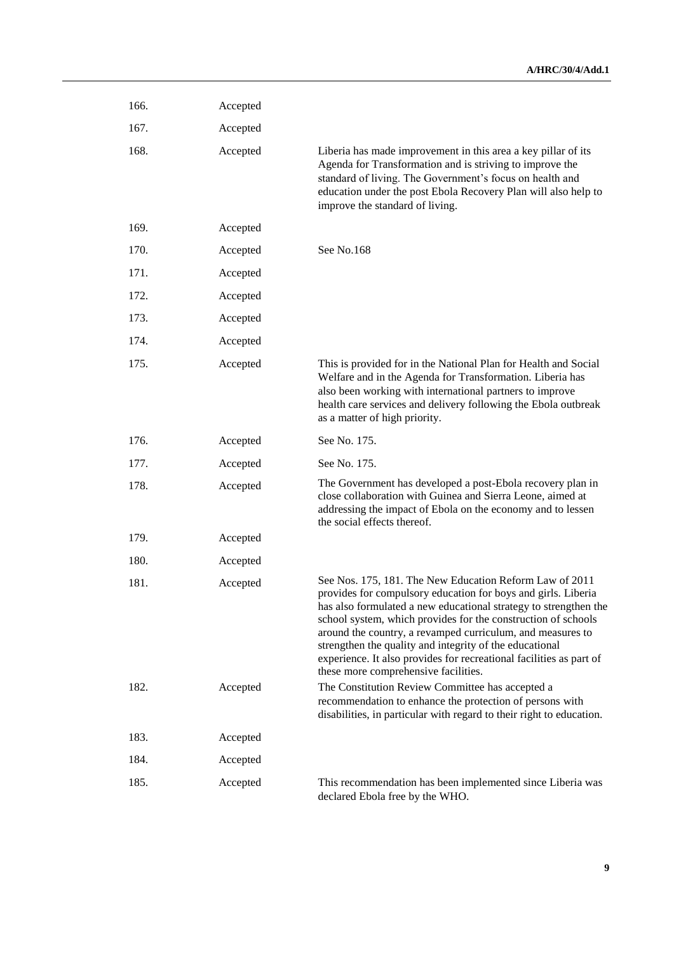| 166. | Accepted |                                                                                                                                                                                                                                                                                                                                                                                                                                                                                                       |
|------|----------|-------------------------------------------------------------------------------------------------------------------------------------------------------------------------------------------------------------------------------------------------------------------------------------------------------------------------------------------------------------------------------------------------------------------------------------------------------------------------------------------------------|
| 167. | Accepted |                                                                                                                                                                                                                                                                                                                                                                                                                                                                                                       |
| 168. | Accepted | Liberia has made improvement in this area a key pillar of its<br>Agenda for Transformation and is striving to improve the<br>standard of living. The Government's focus on health and<br>education under the post Ebola Recovery Plan will also help to<br>improve the standard of living.                                                                                                                                                                                                            |
| 169. | Accepted |                                                                                                                                                                                                                                                                                                                                                                                                                                                                                                       |
| 170. | Accepted | See No.168                                                                                                                                                                                                                                                                                                                                                                                                                                                                                            |
| 171. | Accepted |                                                                                                                                                                                                                                                                                                                                                                                                                                                                                                       |
| 172. | Accepted |                                                                                                                                                                                                                                                                                                                                                                                                                                                                                                       |
| 173. | Accepted |                                                                                                                                                                                                                                                                                                                                                                                                                                                                                                       |
| 174. | Accepted |                                                                                                                                                                                                                                                                                                                                                                                                                                                                                                       |
| 175. | Accepted | This is provided for in the National Plan for Health and Social<br>Welfare and in the Agenda for Transformation. Liberia has<br>also been working with international partners to improve<br>health care services and delivery following the Ebola outbreak<br>as a matter of high priority.                                                                                                                                                                                                           |
| 176. | Accepted | See No. 175.                                                                                                                                                                                                                                                                                                                                                                                                                                                                                          |
| 177. | Accepted | See No. 175.                                                                                                                                                                                                                                                                                                                                                                                                                                                                                          |
| 178. | Accepted | The Government has developed a post-Ebola recovery plan in<br>close collaboration with Guinea and Sierra Leone, aimed at<br>addressing the impact of Ebola on the economy and to lessen<br>the social effects thereof.                                                                                                                                                                                                                                                                                |
| 179. | Accepted |                                                                                                                                                                                                                                                                                                                                                                                                                                                                                                       |
| 180. | Accepted |                                                                                                                                                                                                                                                                                                                                                                                                                                                                                                       |
| 181. | Accepted | See Nos. 175, 181. The New Education Reform Law of 2011<br>provides for compulsory education for boys and girls. Liberia<br>has also formulated a new educational strategy to strengthen the<br>school system, which provides for the construction of schools<br>around the country, a revamped curriculum, and measures to<br>strengthen the quality and integrity of the educational<br>experience. It also provides for recreational facilities as part of<br>these more comprehensive facilities. |
| 182. | Accepted | The Constitution Review Committee has accepted a<br>recommendation to enhance the protection of persons with<br>disabilities, in particular with regard to their right to education.                                                                                                                                                                                                                                                                                                                  |
| 183. | Accepted |                                                                                                                                                                                                                                                                                                                                                                                                                                                                                                       |
| 184. | Accepted |                                                                                                                                                                                                                                                                                                                                                                                                                                                                                                       |
| 185. | Accepted | This recommendation has been implemented since Liberia was<br>declared Ebola free by the WHO.                                                                                                                                                                                                                                                                                                                                                                                                         |